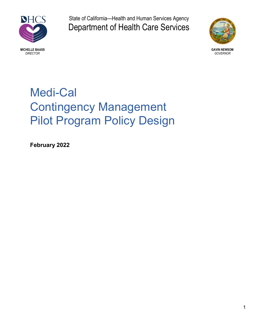

State of California—Health and Human Services Agency Department of Health Care Services



MICHELLE BAASS GAVIN NEWSOM GAVIN NEWSOM GAVIN NEWSOM GAVIN NEWSOM GAVIN NEWSOM GAVIN NEWSOM GAVIN NEWSOM GAVIN<br>DIRECTOR GOVERNOR DIRECTOR GOVERNOR

# Medi-Cal Contingency Management Pilot Program Policy Design

February 2022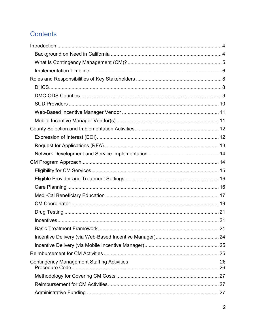# **Contents**

|                                                   | . 21 |
|---------------------------------------------------|------|
|                                                   |      |
|                                                   |      |
|                                                   |      |
| <b>Contingency Management Staffing Activities</b> | 26   |
|                                                   |      |
|                                                   |      |
|                                                   |      |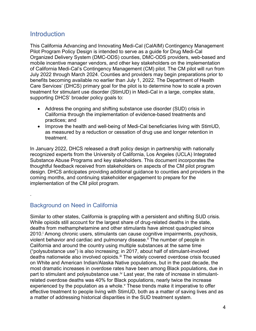# **Introduction**

This California Advancing and Innovating Medi-Cal (CalAIM) Contingency Management Pilot Program Policy Design is intended to serve as a guide for Drug Medi-Cal Organized Delivery System (DMC-ODS) counties, DMC-ODS providers, web-based and mobile incentive manager vendors, and other key stakeholders on the implementation of California Medi-Cal's Contingency Management (CM) pilot. The CM pilot will run from July 2022 through March 2024. Counties and providers may begin preparations prior to benefits becoming available no earlier than July 1, 2022. The Department of Health Care Services' (DHCS) primary goal for the pilot is to determine how to scale a proven treatment for stimulant use disorder (StimUD) in Medi-Cal in a large, complex state, supporting DHCS' broader policy goals to:

- Address the ongoing and shifting substance use disorder (SUD) crisis in California through the implementation of evidence-based treatments and practices; and
- Improve the health and well-being of Medi-Cal beneficiaries living with StimUD, as measured by a reduction or cessation of drug use and longer retention in treatment.

In January 2022, DHCS released a draft policy design in partnership with nationally recognized experts from the University of California, Los Angeles (UCLA) Integrated Substance Abuse Programs and key stakeholders. This document incorporates the thoughtful feedback received from stakeholders on aspects of the CM pilot program design. DHCS anticipates providing additional guidance to counties and providers in the coming months, and continuing stakeholder engagement to prepare for the implementation of the CM pilot program.

# Background on Need in California

.

Similar to other states, California is grappling with a persistent and shifting SUD crisis. While opioids still account for the largest share of drug-related deaths in the state, deaths from methamphetamine and other stimulants have almost quadrupled since 2010. <sup>i</sup> Among chronic users, stimulants can cause cognitive impairments, psychosis, violent behavior and cardiac and pulmonary disease.<sup>ii</sup> The number of people in California and around the country using multiple substances at the same time ("polysubstance use") is also increasing; in 2017, about half of stimulant-involved deaths nationwide also involved opioids.<sup>iii</sup> The widely covered overdose crisis focused on White and American Indian/Alaska Native populations, but in the past decade, the most dramatic increases in overdose rates have been among Black populations, due in part to stimulant and polysubstance use.<sup>iv</sup> Last year, the rate of increase in stimulantrelated overdose deaths was 40% for Black populations, nearly twice the increase experienced by the population as a whole.<sup>v</sup> These trends make it imperative to offer effective treatment to people living with StimUD, both as a matter of saving lives and as a matter of addressing historical disparities in the SUD treatment system.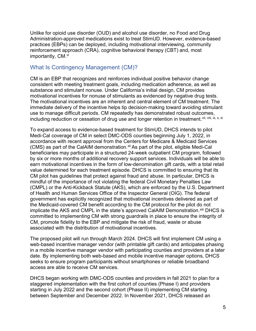Unlike for opioid use disorder (OUD) and alcohol use disorder, no Food and Drug Administration-approved medications exist to treat StimUD. However, evidence-based practices (EBPs) can be deployed, including motivational interviewing, community reinforcement approach (CRA), cognitive behavioral therapy (CBT) and, most importantly, CM. vi

# What Is Contingency Management (CM)?

CM is an EBP that recognizes and reinforces individual positive behavior change consistent with meeting treatment goals, including medication adherence, as well as substance and stimulant nonuse. Under California's initial design, CM provides motivational incentives for nonuse of stimulants as evidenced by negative drug tests. The motivational incentives are an inherent and central element of CM treatment. The immediate delivery of the incentive helps tip decision-making toward avoiding stimulant use to manage difficult periods. CM repeatedly has demonstrated robust outcomes, including reduction or cessation of drug use and longer retention in treatment.<sup>vii, viii, ix, x, xi</sup>

To expand access to evidence-based treatment for StimUD, DHCS intends to pilot Medi-Cal coverage of CM in select DMC-ODS counties beginning July 1, 2022, in accordance with recent approval from the Centers for Medicare & Medicaid Services (CMS) as part of the CalAIM demonstration.<sup>xii</sup> As part of the pilot, eligible Medi-Cal beneficiaries may participate in a structured 24-week outpatient CM program, followed by six or more months of additional recovery support services. Individuals will be able to earn motivational incentives in the form of low-denomination gift cards, with a total retail value determined for each treatment episode. DHCS is committed to ensuring that its CM pilot has guidelines that protect against fraud and abuse. In particular, DHCS is mindful of the importance of not violating the federal Civil Monetary Penalties Law (CMPL) or the Anti-Kickback Statute (AKS), which are enforced by the U.S. Department of Health and Human Services Office of the Inspector General (OIG). The federal government has explicitly recognized that motivational incentives delivered as part of the Medicaid-covered CM benefit according to the CM protocol for the pilot do not implicate the AKS and CMPL in the state's approved CaIAIM Demonstration.<sup>xiii</sup> DHCS is committed to implementing CM with strong guardrails in place to ensure the integrity of CM, promote fidelity to the EBP and mitigate the risk of fraud, waste or abuse associated with the distribution of motivational incentives.

The proposed pilot will run through March 2024. DHCS will first implement CM using a web-based incentive manager vendor (with printable gift cards) and anticipates phasing in a mobile incentive manager vendor with participating counties and providers at a later date. By implementing both web-based and mobile incentive manager options, DHCS seeks to ensure program participants without smartphones or reliable broadband access are able to receive CM services.

DHCS began working with DMC-ODS counties and providers in fall 2021 to plan for a staggered implementation with the first cohort of counties (Phase I) and providers starting in July 2022 and the second cohort (Phase II) implementing CM starting between September and December 2022. In November 2021, DHCS released an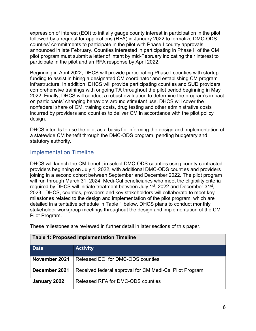expression of interest (EOI) to initially gauge county interest in participation in the pilot, followed by a request for applications (RFA) in January 2022 to formalize DMC-ODS counties' commitments to participate in the pilot with Phase I county approvals announced in late February. Counties interested in participating in Phase II of the CM pilot program must submit a letter of intent by mid-February indicating their interest to participate in the pilot and an RFA response by April 2022.

Beginning in April 2022, DHCS will provide participating Phase I counties with startup funding to assist in hiring a designated CM coordinator and establishing CM program infrastructure. In addition, DHCS will provide participating counties and SUD providers comprehensive trainings with ongoing TA throughout the pilot period beginning in May 2022. Finally, DHCS will conduct a robust evaluation to determine the program's impact on participants' changing behaviors around stimulant use. DHCS will cover the nonfederal share of CM, training costs, drug testing and other administrative costs incurred by providers and counties to deliver CM in accordance with the pilot policy design.

DHCS intends to use the pilot as a basis for informing the design and implementation of a statewide CM benefit through the DMC-ODS program, pending budgetary and statutory authority.

### Implementation Timeline

DHCS will launch the CM benefit in select DMC-ODS counties using county-contracted providers beginning on July 1, 2022, with additional DMC-ODS counties and providers joining in a second cohort between September and December 2022. The pilot program will run through March 31, 2024. Medi-Cal beneficiaries who meet the eligibility criteria required by DHCS will initiate treatment between July 1<sup>st</sup>, 2022 and December 31<sup>st</sup>, 2023. DHCS, counties, providers and key stakeholders will collaborate to meet key milestones related to the design and implementation of the pilot program, which are detailed in a tentative schedule in Table 1 below. DHCS plans to conduct monthly stakeholder workgroup meetings throughout the design and implementation of the CM Pilot Program.

| <b>Table 1: Proposed Implementation Timeline</b> |                                                         |  |
|--------------------------------------------------|---------------------------------------------------------|--|
| <b>Date</b>                                      | <b>Activity</b>                                         |  |
| November 2021                                    | Released EOI for DMC-ODS counties                       |  |
| December 2021                                    | Received federal approval for CM Medi-Cal Pilot Program |  |
| January 2022                                     | Released RFA for DMC-ODS counties                       |  |

These milestones are reviewed in further detail in later sections of this paper.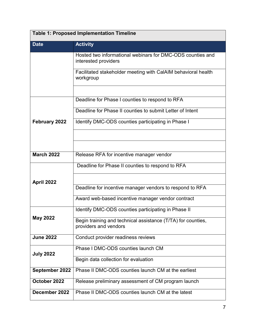| <b>Table 1: Proposed Implementation Timeline</b> |                                                                                       |  |
|--------------------------------------------------|---------------------------------------------------------------------------------------|--|
| <b>Date</b>                                      | <b>Activity</b>                                                                       |  |
|                                                  | Hosted two informational webinars for DMC-ODS counties and<br>interested providers    |  |
|                                                  | Facilitated stakeholder meeting with CalAIM behavioral health<br>workgroup            |  |
|                                                  |                                                                                       |  |
|                                                  | Deadline for Phase I counties to respond to RFA                                       |  |
|                                                  | Deadline for Phase II counties to submit Letter of Intent                             |  |
| February 2022                                    | Identify DMC-ODS counties participating in Phase I                                    |  |
|                                                  |                                                                                       |  |
|                                                  |                                                                                       |  |
| <b>March 2022</b>                                | Release RFA for incentive manager vendor                                              |  |
|                                                  | Deadline for Phase II counties to respond to RFA                                      |  |
| April 2022                                       |                                                                                       |  |
|                                                  | Deadline for incentive manager vendors to respond to RFA                              |  |
|                                                  | Award web-based incentive manager vendor contract                                     |  |
|                                                  | Identify DMC-ODS counties participating in Phase II                                   |  |
| May 2022                                         | Begin training and technical assistance (T/TA) for counties,<br>providers and vendors |  |
| <b>June 2022</b>                                 | Conduct provider readiness reviews                                                    |  |
| <b>July 2022</b>                                 | Phase I DMC-ODS counties launch CM                                                    |  |
|                                                  | Begin data collection for evaluation                                                  |  |
| September 2022                                   | Phase II DMC-ODS counties launch CM at the earliest                                   |  |
| October 2022                                     | Release preliminary assessment of CM program launch                                   |  |
| December 2022                                    | Phase II DMC-ODS counties launch CM at the latest                                     |  |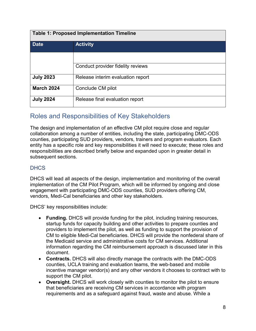| <b>Table 1: Proposed Implementation Timeline</b> |                                   |  |
|--------------------------------------------------|-----------------------------------|--|
| <b>Date</b>                                      | <b>Activity</b>                   |  |
|                                                  |                                   |  |
|                                                  | Conduct provider fidelity reviews |  |
| <b>July 2023</b>                                 | Release interim evaluation report |  |
| <b>March 2024</b>                                | Conclude CM pilot                 |  |
| <b>July 2024</b>                                 | Release final evaluation report   |  |

# Roles and Responsibilities of Key Stakeholders

The design and implementation of an effective CM pilot require close and regular collaboration among a number of entities, including the state, participating DMC-ODS counties, participating SUD providers, vendors, trainers and program evaluators. Each entity has a specific role and key responsibilities it will need to execute; these roles and responsibilities are described briefly below and expanded upon in greater detail in subsequent sections.

### **DHCS**

DHCS will lead all aspects of the design, implementation and monitoring of the overall implementation of the CM Pilot Program, which will be informed by ongoing and close engagement with participating DMC-ODS counties, SUD providers offering CM, vendors, Medi-Cal beneficiaries and other key stakeholders.

DHCS' key responsibilities include:

- Funding. DHCS will provide funding for the pilot, including training resources, startup funds for capacity building and other activities to prepare counties and providers to implement the pilot, as well as funding to support the provision of CM to eligible Medi-Cal beneficiaries. DHCS will provide the nonfederal share of the Medicaid service and administrative costs for CM services. Additional information regarding the CM reimbursement approach is discussed later in this document.
- Contracts. DHCS will also directly manage the contracts with the DMC-ODS counties, UCLA training and evaluation teams, the web-based and mobile incentive manager vendor(s) and any other vendors it chooses to contract with to support the CM pilot.
- Oversight. DHCS will work closely with counties to monitor the pilot to ensure that beneficiaries are receiving CM services in accordance with program requirements and as a safeguard against fraud, waste and abuse. While a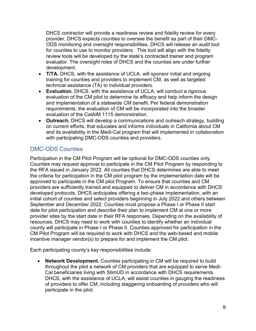DHCS contractor will provide a readiness review and fidelity review for every provider, DHCS expects counties to oversee the benefit as part of their DMC-ODS monitoring and oversight responsibilities. DHCS will release an audit tool for counties to use to monitor providers. This tool will align with the fidelity review tools will be developed by the state's contracted trainer and program evaluator. The oversight roles of DHCS and the counties are under further development.

- T/TA. DHCS, with the assistance of UCLA, will sponsor initial and ongoing training for counties and providers to implement CM, as well as targeted technical assistance (TA) to individual providers.
- Evaluation. DHCS, with the assistance of UCLA, will conduct a rigorous evaluation of the CM pilot to determine its efficacy and help inform the design and implementation of a statewide CM benefit. Per federal demonstration requirements, the evaluation of CM will be incorporated into the broader evaluation of the CalAIM 1115 demonstration.
- Outreach. DHCS will develop a communications and outreach strategy, building on current efforts, that educates and informs individuals in California about CM and its availability in the Medi-Cal program that will implemented in collaboration with participating DMC-ODS counties and providers.

# DMC-ODS Counties

Participation in the CM Pilot Program will be optional for DMC-ODS counties only. Counties may request approval to participate in the CM Pilot Program by responding to the RFA issued in January 2022. All counties that DHCS determines are able to meet the criteria for participation in the CM pilot program by the implementation date will be approved to participate in the CM pilot Program. To ensure that counties and CM providers are sufficiently trained and equipped to deliver CM in accordance with DHCS' developed protocols, DHCS anticipates offering a two-phase implementation, with an initial cohort of counties and select providers beginning in July 2022 and others between September and December 2022. Counties must propose a Phase I or Phase II start date for pilot participation and describe their plan to implement CM at one or more provider sites by the start date in their RFA responses. Depending on the availability of resources, DHCS may need to work with counties to identify whether an individual county will participate in Phase I or Phase II. Counties approved for participation in the CM Pilot Program will be required to work with DHCS and the web-based and mobile incentive manager vendor(s) to prepare for and implement the CM pilot.

Each participating county's key responsibilities include:

• Network Development. Counties participating in CM will be required to build throughout the pilot a network of CM providers that are equipped to serve Medi-Cal beneficiaries living with StimUD in accordance with DHCS requirements. DHCS, with the assistance of UCLA, will assist counties in gauging the readiness of providers to offer CM, including staggering onboarding of providers who will participate in the pilot.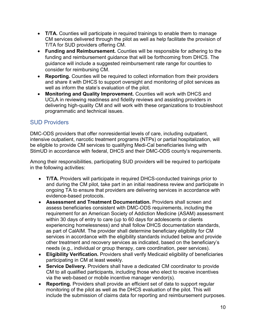- T/TA. Counties will participate in required trainings to enable them to manage CM services delivered through the pilot as well as help facilitate the provision of T/TA for SUD providers offering CM.
- Funding and Reimbursement. Counties will be responsible for adhering to the funding and reimbursement guidance that will be forthcoming from DHCS. The guidance will include a suggested reimbursement rate range for counties to consider for reimbursing CM.
- Reporting. Counties will be required to collect information from their providers and share it with DHCS to support oversight and monitoring of pilot services as well as inform the state's evaluation of the pilot.
- Monitoring and Quality Improvement. Counties will work with DHCS and UCLA in reviewing readiness and fidelity reviews and assisting providers in delivering high-quality CM and will work with these organizations to troubleshoot programmatic and technical issues.

# SUD Providers

DMC-ODS providers that offer nonresidential levels of care, including outpatient, intensive outpatient, narcotic treatment programs (NTPs) or partial hospitalization, will be eligible to provide CM services to qualifying Medi-Cal beneficiaries living with StimUD in accordance with federal, DHCS and their DMC-ODS county's requirements.

Among their responsibilities, participating SUD providers will be required to participate in the following activities:

- T/TA. Providers will participate in required DHCS-conducted trainings prior to and during the CM pilot, take part in an initial readiness review and participate in ongoing TA to ensure that providers are delivering services in accordance with evidence-based protocols.
- Assessment and Treatment Documentation. Providers shall screen and assess beneficiaries consistent with DMC-ODS requirements, including the requirement for an American Society of Addiction Medicine (ASAM) assessment within 30 days of entry to care (up to 60 days for adolescents or clients experiencing homelessness) and shall follow DHCS documentation standards, as part of CalAIM. The provider shall determine beneficiary eligibility for CM services in accordance with the eligibility standards included below and provide other treatment and recovery services as indicated, based on the beneficiary's needs (e.g., individual or group therapy, care coordination, peer services).
- Eligibility Verification. Providers shall verify Medicaid eligibility of beneficiaries participating in CM at least weekly.
- Service Delivery. Providers shall have a dedicated CM coordinator to provide CM to all qualified participants, including those who elect to receive incentives via the web-based or mobile incentive manager vendor(s).
- Reporting. Providers shall provide an efficient set of data to support regular monitoring of the pilot as well as the DHCS evaluation of the pilot. This will include the submission of claims data for reporting and reimbursement purposes.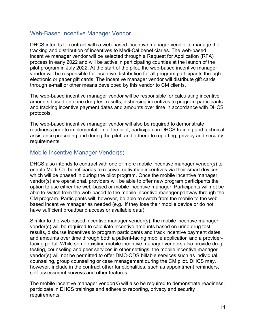### Web-Based Incentive Manager Vendor

DHCS intends to contract with a web-based incentive manager vendor to manage the tracking and distribution of incentives to Medi-Cal beneficiaries. The web-based incentive manager vendor will be selected through a Request for Application (RFA) process in early 2022 and will be active in participating counties at the launch of the pilot program in July 2022. At the start of the pilot, the web-based incentive manager vendor will be responsible for incentive distribution for all program participants through electronic or paper gift cards. The incentive manager vendor will distribute gift cards through e-mail or other means developed by this vendor to CM clients.

The web-based incentive manager vendor will be responsible for calculating incentive amounts based on urine drug test results, disbursing incentives to program participants and tracking incentive payment dates and amounts over time in accordance with DHCS protocols.

The web-based incentive manager vendor will also be required to demonstrate readiness prior to implementation of the pilot, participate in DHCS training and technical assistance preceding and during the pilot, and adhere to reporting, privacy and security requirements.

### Mobile Incentive Manager Vendor(s)

DHCS also intends to contract with one or more mobile incentive manager vendor(s) to enable Medi-Cal beneficiaries to receive motivation incentives via their smart devices, which will be phased in during the pilot program. Once the mobile incentive manager vendor(s) are operational, providers will be able to offer new program participants the option to use either the web-based or mobile incentive manager. Participants will not be able to switch from the web-based to the mobile incentive manager partway through the CM program. Participants will, however, be able to switch from the mobile to the webbased incentive manager as needed (e.g., if they lose their mobile device or do not have sufficient broadband access or available data).

Similar to the web-based incentive manager vendor(s), the mobile incentive manager vendor(s) will be required to calculate incentive amounts based on urine drug test results, disburse incentives to program participants and track incentive payment dates and amounts over time through both a patient-facing mobile application and a providerfacing portal. While some existing mobile incentive manager vendors also provide drug testing, counseling and peer services in other settings, the mobile incentive manager vendor(s) will not be permitted to offer DMC-ODS billable services such as individual counseling, group counseling or case management during the CM pilot. DHCS may, however, include in the contract other functionalities, such as appointment reminders, self-assessment surveys and other features.

The mobile incentive manager vendor(s) will also be required to demonstrate readiness, participate in DHCS trainings and adhere to reporting, privacy and security requirements.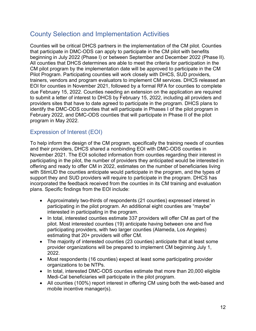# County Selection and Implementation Activities

Counties will be critical DHCS partners in the implementation of the CM pilot. Counties that participate in DMC-ODS can apply to participate in the CM pilot with benefits beginning in July 2022 (Phase I) or between September and December 2022 (Phase II). All counties that DHCS determines are able to meet the criteria for participation in the CM pilot program by the implementation date will be approved to participate in the CM Pilot Program. Participating counties will work closely with DHCS, SUD providers, trainers, vendors and program evaluators to implement CM services. DHCS released an EOI for counties in November 2021, followed by a formal RFA for counties to complete due February 15, 2022. Counties needing an extension on the application are required to submit a letter of interest to DHCS by February 15, 2022, including all providers and providers sites that have to date agreed to participate in the program. DHCS plans to identify the DMC-ODS counties that will participate in Phases I of the pilot program in February 2022, and DMC-ODS counties that will participate in Phase II of the pilot program in May 2022.

# Expression of Interest (EOI)

To help inform the design of the CM program, specifically the training needs of counties and their providers, DHCS shared a nonbinding EOI with DMC-ODS counties in November 2021. The EOI solicited information from counties regarding their interest in participating in the pilot, the number of providers they anticipated would be interested in offering and ready to offer CM in 2022, estimates on the number of beneficiaries living with StimUD the counties anticipate would participate in the program, and the types of support they and SUD providers will require to participate in the program. DHCS has incorporated the feedback received from the counties in its CM training and evaluation plans. Specific findings from the EOI include:

- Approximately two-thirds of respondents (21 counties) expressed interest in participating in the pilot program. An additional eight counties are "maybe" interested in participating in the program.
- In total, interested counties estimate 337 providers will offer CM as part of the pilot. Most interested counties (19) anticipate having between one and five participating providers, with two larger counties (Alameda, Los Angeles) estimating that 20+ providers will offer CM.
- The majority of interested counties (23 counties) anticipate that at least some provider organizations will be prepared to implement CM beginning July 1, 2022.
- Most respondents (16 counties) expect at least some participating provider organizations to be NTPs.
- In total, interested DMC-ODS counties estimate that more than 20,000 eligible Medi-Cal beneficiaries will participate in the pilot program.
- All counties (100%) report interest in offering CM using both the web-based and mobile incentive manager(s).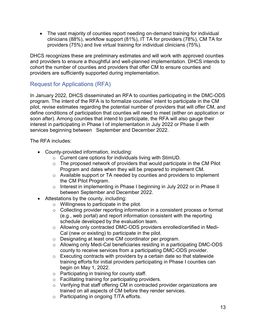The vast majority of counties report needing on-demand training for individual clinicians (88%), workflow support (81%), IT TA for providers (78%), CM TA for providers (75%) and live virtual training for individual clinicians (75%).

DHCS recognizes these are preliminary estimates and will work with approved counties and providers to ensure a thoughtful and well-planned implementation. DHCS intends to cohort the number of counties and providers that offer CM to ensure counties and providers are sufficiently supported during implementation.

# Request for Applications (RFA)

In January 2022, DHCS disseminated an RFA to counties participating in the DMC-ODS program. The intent of the RFA is to formalize counties' intent to participate in the CM pilot, revise estimates regarding the potential number of providers that will offer CM, and define conditions of participation that counties will need to meet (either on application or soon after). Among counties that intend to participate, the RFA will also gauge their interest in participating in Phase I of implementation in July 2022 or Phase II with services beginning between September and December 2022.

The RFA includes:

- County-provided information, including:
	- o Current care options for individuals living with StimUD.
	- o The proposed network of providers that would participate in the CM Pilot Program and dates when they will be prepared to implement CM.
	- o Available support or TA needed by counties and providers to implement the CM Pilot Program.
	- o Interest in implementing in Phase I beginning in July 2022 or in Phase II between September and December 2022.
- Attestations by the county, including:
	- o Willingness to participate in the pilot.
	- o Collecting provider reporting information in a consistent process or format (e.g., web portal) and report information consistent with the reporting schedule developed by the evaluation team.
	- o Allowing only contracted DMC-ODS providers enrolled/certified in Medi-Cal (new or existing) to participate in the pilot.
	- o Designating at least one CM coordinator per program.
	- o Allowing only Medi-Cal beneficiaries residing in a participating DMC-ODS county to receive services from a participating DMC-ODS provider.
	- $\circ$  Executing contracts with providers by a certain date so that statewide training efforts for initial providers participating in Phase I counties can begin on May 1, 2022.
	- o Participating in training for county staff.
	- o Facilitating training for participating providers.
	- o Verifying that staff offering CM in contracted provider organizations are trained on all aspects of CM before they render services.
	- o Participating in ongoing T/TA efforts.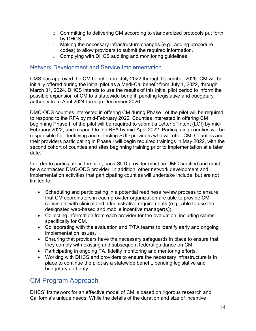- $\circ$  Committing to delivering CM according to standardized protocols put forth by DHCS.
- o Making the necessary infrastructure changes (e.g., adding procedure codes) to allow providers to submit the required information.
- o Complying with DHCS auditing and monitoring guidelines.

### Network Development and Service Implementation

CMS has approved the CM benefit from July 2022 through December 2026. CM will be initially offered during the initial pilot as a Medi-Cal benefit from July 1, 2022, through March 31, 2024. DHCS intends to use the results of this initial pilot period to inform the possible expansion of CM to a statewide benefit, pending legislative and budgetary authority from April 2024 through December 2026.

DMC-ODS counties interested in offering CM during Phase I of the pilot will be required to respond to the RFA by mid-February 2022. Counties interested in offering CM beginning Phase II of the pilot will be required to submit a Letter of Intent (LOI) by mid-February 2022, and respond to the RFA by mid-April 2022. Participating counties will be responsible for identifying and selecting SUD providers who will offer CM. Counties and their providers participating in Phase I will begin required trainings in May 2022, with the second cohort of counties and sites beginning training prior to implementation at a later date.

In order to participate in the pilot, each SUD provider must be DMC-certified and must be a contracted DMC-ODS provider. In addition, other network development and implementation activities that participating counties will undertake include, but are not limited to:

- Scheduling and participating in a potential readiness review process to ensure that CM coordinators in each provider organization are able to provide CM consistent with clinical and administrative requirements (e.g., able to use the designated web-based and mobile incentive manager(s)).
- Collecting information from each provider for the evaluation, including claims specifically for CM.
- Collaborating with the evaluation and T/TA teams to identify early and ongoing implementation issues.
- Ensuring that providers have the necessary safeguards in place to ensure that they comply with existing and subsequent federal guidance on CM.
- Participating in ongoing TA, fidelity monitoring and mentoring efforts.
- Working with DHCS and providers to ensure the necessary infrastructure is in place to continue the pilot as a statewide benefit, pending legislative and budgetary authority.

# CM Program Approach

DHCS' framework for an effective model of CM is based on rigorous research and California's unique needs. While the details of the duration and size of incentive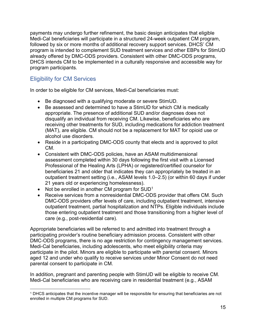payments may undergo further refinement, the basic design anticipates that eligible Medi-Cal beneficiaries will participate in a structured 24-week outpatient CM program, followed by six or more months of additional recovery support services. DHCS' CM program is intended to complement SUD treatment services and other EBPs for StimUD already offered by DMC-ODS providers. Consistent with other DMC-ODS programs, DHCS intends CM to be implemented in a culturally responsive and accessible way for program participants.

# Eligibility for CM Services

In order to be eligible for CM services, Medi-Cal beneficiaries must:

- Be diagnosed with a qualifying moderate or severe StimUD.
- Be assessed and determined to have a StimUD for which CM is medically appropriate. The presence of additional SUD and/or diagnoses does not disqualify an individual from receiving CM. Likewise, beneficiaries who are receiving other treatments for SUD, including medications for addiction treatment (MAT), are eligible. CM should not be a replacement for MAT for opioid use or alcohol use disorders.
- Reside in a participating DMC-ODS county that elects and is approved to pilot CM.
- Consistent with DMC-ODS policies, have an ASAM multidimensional assessment completed within 30 days following the first visit with a Licensed Professional of the Healing Arts (LPHA) or registered/certified counselor for beneficiaries 21 and older that indicates they can appropriately be treated in an outpatient treatment setting (i.e., ASAM levels 1.0–2.5) (or within 60 days if under 21 years old or experiencing homelessness).
- Not be enrolled in another CM program for  $\text{SUD}^1$
- Receive services from a nonresidential DMC-ODS provider that offers CM. Such DMC-ODS providers offer levels of care, including outpatient treatment, intensive outpatient treatment, partial hospitalization and NTPs. Eligible individuals include those entering outpatient treatment and those transitioning from a higher level of care (e.g., post-residential care).

Appropriate beneficiaries will be referred to and admitted into treatment through a participating provider's routine beneficiary admission process. Consistent with other DMC-ODS programs, there is no age restriction for contingency management services. Medi-Cal beneficiaries, including adolescents, who meet eligibility criteria may participate in the pilot. Minors are eligible to participate with parental consent. Minors aged 12 and under who qualify to receive services under Minor Consent do not need parental consent to participate in CM.

In addition, pregnant and parenting people with StimUD will be eligible to receive CM. Medi-Cal beneficiaries who are receiving care in residential treatment (e.g., ASAM

<sup>1</sup> DHCS anticipates that the incentive manager will be responsible for ensuring that beneficiaries are not enrolled in multiple CM programs for SUD.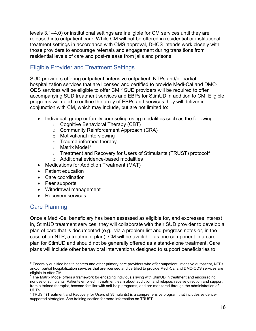levels 3.1–4.0) or institutional settings are ineligible for CM services until they are released into outpatient care. While CM will not be offered in residential or institutional treatment settings in accordance with CMS approval, DHCS intends work closely with those providers to encourage referrals and engagement during transitions from residential levels of care and post-release from jails and prisons.

# Eligible Provider and Treatment Settings

SUD providers offering outpatient, intensive outpatient, NTPs and/or partial hospitalization services that are licensed and certified to provide Medi-Cal and DMC-ODS services will be eligible to offer CM. <sup>2</sup> SUD providers will be required to offer accompanying SUD treatment services and EBPs for StimUD in addition to CM. Eligible programs will need to outline the array of EBPs and services they will deliver in conjunction with CM, which may include, but are not limited to:

- Individual, group or family counseling using modalities such as the following:
	- o Cognitive Behavioral Therapy (CBT)
	- o Community Reinforcement Approach (CRA)
	- o Motivational interviewing
	- o Trauma-informed therapy
	- o Matrix Model<sup>3</sup>
	- o Treatment and Recovery for Users of Stimulants (TRUST) protocol<sup>4</sup> o Additional evidence-based modalities
- Medications for Addiction Treatment (MAT)
- Patient education
- Care coordination
- Peer supports
- Withdrawal management
- Recovery services

### Care Planning

Once a Medi-Cal beneficiary has been assessed as eligible for, and expresses interest in, StimUD treatment services, they will collaborate with their SUD provider to develop a plan of care that is documented (e.g., via a problem list and progress notes or, in the case of an NTP, a treatment plan). CM will be available as one component in a care plan for StimUD and should not be generally offered as a stand-alone treatment. Care plans will include other behavioral interventions designed to support beneficiaries to

<sup>&</sup>lt;sup>2</sup> Federally qualified health centers and other primary care providers who offer outpatient, intensive outpatient, NTPs and/or partial hospitalization services that are licensed and certified to provide Medi-Cal and DMC-ODS services are eligible to offer CM.

<sup>3</sup> The Matrix Model offers a framework for engaging individuals living with StimUD in treatment and encouraging nonuse of stimulants. Patients enrolled in treatment learn about addiction and relapse, receive direction and support from a trained therapist, become familiar with self-help programs, and are monitored through the administration of UDTs.

<sup>4</sup> TRUST (Treatment and Recovery for Users of Stimulants) is a comprehensive program that includes evidencesupported strategies. See training section for more information on TRUST.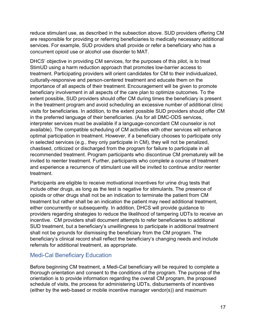reduce stimulant use, as described in the subsection above. SUD providers offering CM are responsible for providing or referring beneficiaries to medically necessary additional services. For example, SUD providers shall provide or refer a beneficiary who has a concurrent opioid use or alcohol use disorder to MAT.

DHCS' objective in providing CM services, for the purposes of this pilot, is to treat StimUD using a harm reduction approach that promotes low-barrier access to treatment. Participating providers will orient candidates for CM to their individualized, culturally-responsive and person-centered treatment and educate them on the importance of all aspects of their treatment. Encouragement will be given to promote beneficiary involvement in all aspects of the care plan to optimize outcomes. To the extent possible, SUD providers should offer CM during times the beneficiary is present in the treatment program and avoid scheduling an excessive number of additional clinic visits for beneficiaries. In addition, to the extent possible SUD providers should offer CM in the preferred language of their beneficiaries. (As for all DMC-ODS services, interpreter services must be available if a language-concordant CM counselor is not available). The compatible scheduling of CM activities with other services will enhance optimal participation in treatment. However, if a beneficiary chooses to participate only in selected services (e.g., they only participate in CM), they will not be penalized, chastised, criticized or discharged from the program for failure to participate in all recommended treatment. Program participants who discontinue CM prematurely will be invited to reenter treatment. Further, participants who complete a course of treatment and experience a recurrence of stimulant use will be invited to continue and/or reenter treatment.

Participants are eligible to receive motivational incentives for urine drug tests that include other drugs, as long as the test is negative for stimulants. The presence of opioids or other drugs shall not be an indication to terminate the patient from CM treatment but rather shall be an indication the patient may need additional treatment, either concurrently or subsequently. In addition, DHCS will provide guidance to providers regarding strategies to reduce the likelihood of tampering UDTs to receive an incentive. CM providers shall document attempts to refer beneficiaries to additional SUD treatment, but a beneficiary's unwillingness to participate in additional treatment shall not be grounds for dismissing the beneficiary from the CM program. The beneficiary's clinical record shall reflect the beneficiary's changing needs and include referrals for additional treatment, as appropriate.

### Medi-Cal Beneficiary Education

Before beginning CM treatment, a Medi-Cal beneficiary will be required to complete a thorough orientation and consent to the conditions of the program. The purpose of the orientation is to provide information regarding the overall CM program, the proposed schedule of visits, the process for administering UDTs, disbursements of incentives (either by the web-based or mobile incentive manager vendor(s)) and maximum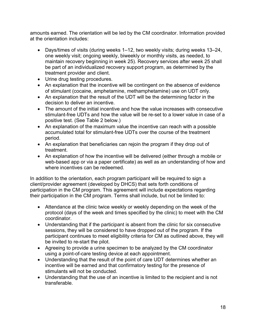amounts earned. The orientation will be led by the CM coordinator. Information provided at the orientation includes:

- Days/times of visits (during weeks 1–12, two weekly visits; during weeks 13–24, one weekly visit; ongoing weekly, biweekly or monthly visits, as needed, to maintain recovery beginning in week 25). Recovery services after week 25 shall be part of an individualized recovery support program, as determined by the treatment provider and client.
- Urine drug testing procedures.
- An explanation that the incentive will be contingent on the absence of evidence of stimulant (cocaine, amphetamine, methamphetamine) use on UDT only.
- An explanation that the result of the UDT will be the determining factor in the decision to deliver an incentive.
- The amount of the initial incentive and how the value increases with consecutive stimulant-free UDTs and how the value will be re-set to a lower value in case of a positive test. (See Table 2 below.)
- An explanation of the maximum value the incentive can reach with a possible accumulated total for stimulant-free UDTs over the course of the treatment period.
- An explanation that beneficiaries can rejoin the program if they drop out of treatment.
- An explanation of how the incentive will be delivered (either through a mobile or web-based app or via a paper certificate) as well as an understanding of how and where incentives can be redeemed.

In addition to the orientation, each program participant will be required to sign a client/provider agreement (developed by DHCS) that sets forth conditions of participation in the CM program. This agreement will include expectations regarding their participation in the CM program. Terms shall include, but not be limited to:

- Attendance at the clinic twice weekly or weekly depending on the week of the protocol (days of the week and times specified by the clinic) to meet with the CM coordinator.
- Understanding that if the participant is absent from the clinic for six consecutive sessions, they will be considered to have dropped out of the program. If the participant continues to meet eligibility criteria for CM as outlined above, they will be invited to re-start the pilot.
- Agreeing to provide a urine specimen to be analyzed by the CM coordinator using a point-of-care testing device at each appointment.
- Understanding that the result of the point of care UDT determines whether an incentive will be earned and that confirmatory testing for the presence of stimulants will not be conducted.
- Understanding that the use of an incentive is limited to the recipient and is not transferable.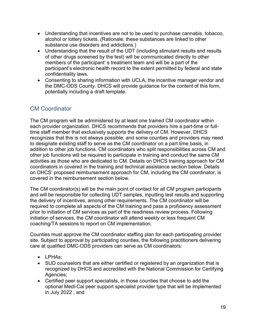- Understanding that incentives are not to be used to purchase cannabis, tobacco, alcohol or lottery tickets. (Rationale: these substances are linked to other substance use disorders and addictions.)
- Understanding that the result of the UDT (including stimulant results and results of other drugs screened by the test) will be communicated directly to other members of the participant' s treatment team and will be a part of the participant's electronic health record to the extent permitted by federal and state confidentiality laws.
- Consenting to sharing information with UCLA, the incentive manager vendor and the DMC-ODS County. DHCS will provide guidance for the content of this form, potentially including a draft template.

# CM Coordinator

The CM program will be administered by at least one trained CM coordinator within each provider organization. DHCS recommends that providers hire a part-time or fulltime staff member that exclusively supports the delivery of CM. However, DHCS recognizes that this is not always possible, and some counties and providers may need to designate existing staff to serve as the CM coordinator on a part time basis, in addition to other job functions. CM coordinators who split responsibilities across CM and other job functions will be required to participate in training and conduct the same CM activities as those who are dedicated to CM. Details on DHCS training approach for CM coordinators in covered in the training and technical assistance section below. Details on DHCS' proposed reimbursement approach for CM, including the CM coordinator, is covered in the reimbursement section below.

The CM coordinator(s) will be the main point of contact for all CM program participants and will be responsible for collecting UDT samples, inputting test results and supporting the delivery of incentives, among other requirements. The CM coordinator will be required to complete all aspects of the CM training and pass a proficiency assessment prior to initiation of CM services as part of the readiness review process. Following initiation of services, the CM coordinator will attend weekly or less frequent CM coaching/TA sessions to report on CM implementation.

Counties must approve the CM coordinator staffing plan for each participating provider site. Subject to approval by participating counties, the following practitioners delivering care at qualified DMC-ODS providers can serve as CM coordinators:

- LPHAs:
- SUD counselors that are either certified or registered by an organization that is recognized by DHCS and accredited with the National Commission for Certifying Agencies;
- Certified peer support specialists, in those counties that choose to add the optional Medi-Cal peer support specialist provider type that will be implemented in July 2022 ; and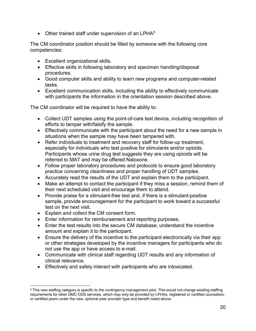$\bullet$  Other trained staff under supervision of an LPHA $^5$ 

The CM coordinator position should be filled by someone with the following core competencies:

- Excellent organizational skills.
- Effective skills in following laboratory and specimen handling/disposal procedures.
- Good computer skills and ability to learn new programs and computer-related tasks.
- Excellent communication skills, including the ability to effectively communicate with participants the information in the orientation session described above.

The CM coordinator will be required to have the ability to:

- Collect UDT samples using the point-of-care test device, including recognition of efforts to tamper with/falsify the sample.
- Effectively communicate with the participant about the need for a new sample in situations when the sample may have been tampered with.
- Refer individuals to treatment and recovery staff for follow-up treatment, especially for individuals who test positive for stimulants and/or opioids. Participants whose urine drug test suggests they are using opioids will be referred to MAT and may be offered Naloxone.
- Follow proper laboratory procedures and protocols to ensure good laboratory practice concerning cleanliness and proper handling of UDT samples.
- Accurately read the results of the UDT and explain them to the participant.
- Make an attempt to contact the participant if they miss a session, remind them of their next scheduled visit and encourage them to attend.
- Provide praise for a stimulant-free test and, if there is a stimulant-positive sample, provide encouragement for the participant to work toward a successful test on the next visit.
- Explain and collect the CM consent form.
- Enter information for reimbursement and reporting purposes.
- Enter the test results into the secure CM database, understand the incentive amount and explain it to the participant.
- Ensure the delivery of the incentive to the participant electronically via their app or other strategies developed by the incentive managers for participants who do not use the app or have access to e-mail.
- Communicate with clinical staff regarding UDT results and any information of clinical relevance.
- Effectively and safely interact with participants who are intoxicated.

<sup>5</sup> This new staffing category is specific to the contingency management pilot. This would not change existing staffing requirements for other DMC-ODS services, which may only be provided by LPHAs, registered or certified counselors, or certified peers under the new, optional peer provider type and benefit noted above.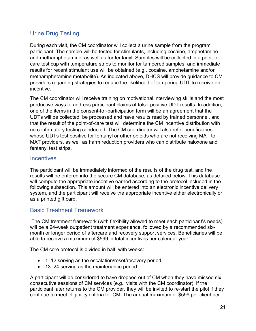# Urine Drug Testing

During each visit, the CM coordinator will collect a urine sample from the program participant. The sample will be tested for stimulants, including cocaine, amphetamine and methamphetamine, as well as for fentanyl. Samples will be collected in a point-ofcare test cup with temperature strips to monitor for tampered samples, and immediate results for recent stimulant use will be obtained (e.g., cocaine, amphetamine and/or methamphetamine metabolite). As indicated above, DHCS will provide guidance to CM providers regarding strategies to reduce the likelihood of tampering UDT to receive an incentive.

The CM coordinator will receive training on motivational interviewing skills and the most productive ways to address participant claims of false-positive UDT results. In addition, one of the items in the consent-for-participation form will be an agreement that the UDTs will be collected, be processed and have results read by trained personnel, and that the result of the point-of-care test will determine the CM incentive distribution with no confirmatory testing conducted. The CM coordinator will also refer beneficiaries whose UDTs test positive for fentanyl or other opioids who are not receiving MAT to MAT providers, as well as harm reduction providers who can distribute naloxone and fentanyl test strips.

### **Incentives**

The participant will be immediately informed of the results of the drug test, and the results will be entered into the secure CM database, as detailed below. This database will compute the appropriate incentive earned according to the protocol included in the following subsection. This amount will be entered into an electronic incentive delivery system, and the participant will receive the appropriate incentive either electronically or as a printed gift card.

### Basic Treatment Framework

The CM treatment framework (with flexibility allowed to meet each participant's needs) will be a 24-week outpatient treatment experience, followed by a recommended sixmonth or longer period of aftercare and recovery support services. Beneficiaries will be able to receive a maximum of \$599 in total incentives per calendar year.

The CM core protocol is divided in half, with weeks:

- 1–12 serving as the escalation/reset/recovery period.
- 13–24 serving as the maintenance period.

A participant will be considered to have dropped out of CM when they have missed six consecutive sessions of CM services (e.g., visits with the CM coordinator). If the participant later returns to the CM provider, they will be invited to re-start the pilot if they continue to meet eligibility criteria for CM. The annual maximum of \$599 per client per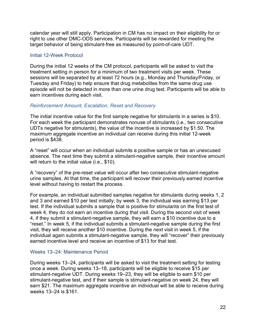calendar year will still apply. Participation in CM has no impact on their eligibility for or right to use other DMC-ODS services. Participants will be rewarded for meeting the target behavior of being stimulant-free as measured by point-of-care UDT.

#### Initial 12-Week Protocol

During the initial 12 weeks of the CM protocol, participants will be asked to visit the treatment setting in person for a minimum of two treatment visits per week. These sessions will be separated by at least 72 hours (e.g., Monday and Thursday/Friday, or Tuesday and Friday) to help ensure that drug metabolites from the same drug use episode will not be detected in more than one urine drug test. Participants will be able to earn incentives during each visit.

#### Reinforcement Amount, Escalation, Reset and Recovery

The initial incentive value for the first sample negative for stimulants in a series is \$10. For each week the participant demonstrates nonuse of stimulants (i.e., two consecutive UDTs negative for stimulants), the value of the incentive is increased by \$1.50. The maximum aggregate incentive an individual can receive during this initial 12-week period is \$438.

A "reset" will occur when an individual submits a positive sample or has an unexcused absence. The next time they submit a stimulant-negative sample, their incentive amount will return to the initial value (i.e., \$10).

A "recovery" of the pre-reset value will occur after two consecutive stimulant-negative urine samples. At that time, the participant will recover their previously earned incentive level without having to restart the process.

For example, an individual submitted samples negative for stimulants during weeks 1, 2 and 3 and earned \$10 per test initially; by week 3, the individual was earning \$13 per test. If the individual submits a sample that is positive for stimulants on the first test of week 4, they do not earn an incentive during that visit. During the second visit of week 4, if they submit a stimulant-negative sample, they will earn a \$10 incentive due to a "reset." In week 5, if the individual submits a stimulant-negative sample during the first visit, they will receive another \$10 incentive. During the next visit in week 5, if the individual again submits a stimulant-negative sample, they will "recover" their previously earned incentive level and receive an incentive of \$13 for that test.

#### Weeks 13–24: Maintenance Period

During weeks 13–24, participants will be asked to visit the treatment setting for testing once a week. During weeks 13–18, participants will be eligible to receive \$15 per stimulant-negative UDT. During weeks 19–23, they will be eligible to earn \$10 per stimulant-negative test, and if their sample is stimulant-negative on week 24, they will earn \$21. The maximum aggregate incentive an individual will be able to receive during weeks 13–24 is \$161.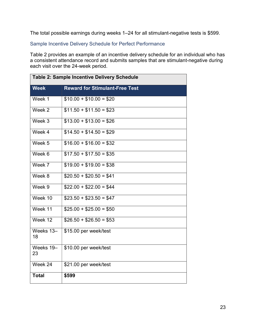The total possible earnings during weeks 1–24 for all stimulant-negative tests is \$599.

Sample Incentive Delivery Schedule for Perfect Performance

Table 2 provides an example of an incentive delivery schedule for an individual who has a consistent attendance record and submits samples that are stimulant-negative during each visit over the 24-week period.

| <b>Table 2: Sample Incentive Delivery Schedule</b> |                                       |  |
|----------------------------------------------------|---------------------------------------|--|
| <b>Week</b>                                        | <b>Reward for Stimulant-Free Test</b> |  |
| Week 1                                             | $$10.00 + $10.00 = $20$               |  |
| Week 2                                             | $$11.50 + $11.50 = $23$               |  |
| Week 3                                             | $$13.00 + $13.00 = $26$               |  |
| Week 4                                             | $$14.50 + $14.50 = $29$               |  |
| Week 5                                             | $$16.00 + $16.00 = $32$               |  |
| Week 6                                             | $$17.50 + $17.50 = $35$               |  |
| Week 7                                             | $$19.00 + $19.00 = $38$               |  |
| Week 8                                             | $$20.50 + $20.50 = $41$               |  |
| Week $\overline{9}$                                | $$22.00 + $22.00 = $44$               |  |
| Week 10                                            | $$23.50 + $23.50 = $47$               |  |
| Week 11                                            | $$25.00 + $25.00 = $50$               |  |
| Week 12                                            | $$26.50 + $26.50 = $53$               |  |
| Weeks 13-<br>18                                    | \$15.00 per week/test                 |  |
| Weeks 19-<br>23                                    | \$10.00 per week/test                 |  |
| Week 24                                            | \$21.00 per week/test                 |  |
| <b>Total</b>                                       | \$599                                 |  |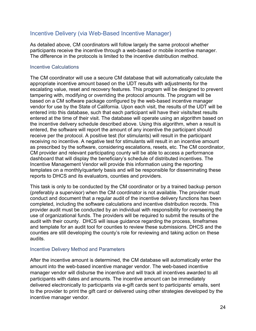### Incentive Delivery (via Web-Based Incentive Manager)

As detailed above, CM coordinators will follow largely the same protocol whether participants receive the incentive through a web-based or mobile incentive manager. The difference in the protocols is limited to the incentive distribution method.

#### Incentive Calculations

The CM coordinator will use a secure CM database that will automatically calculate the appropriate incentive amount based on the UDT results with adjustments for the escalating value, reset and recovery features. This program will be designed to prevent tampering with, modifying or overriding the protocol amounts. The program will be based on a CM software package configured by the web-based incentive manager vendor for use by the State of California. Upon each visit, the results of the UDT will be entered into this database, such that each participant will have their visits/test results entered at the time of their visit. The database will operate using an algorithm based on the incentive delivery schedule described above. Using this algorithm, when a result is entered, the software will report the amount of any incentive the participant should receive per the protocol. A positive test (for stimulants) will result in the participant receiving no incentive. A negative test for stimulants will result in an incentive amount as prescribed by the software, considering escalations, resets, etc. The CM coordinator, CM provider and relevant participating county will be able to access a performance dashboard that will display the beneficiary's schedule of distributed incentives. The Incentive Management Vendor will provide this information using the reporting templates on a monthly/quarterly basis and will be responsible for disseminating these reports to DHCS and its evaluators, counties and providers.

This task is only to be conducted by the CM coordinator or by a trained backup person (preferably a supervisor) when the CM coordinator is not available. The provider must conduct and document that a regular audit of the incentive delivery functions has been completed, including the software calculations and incentive distribution records. This provider audit must be conducted by an individual with responsibility for overseeing the use of organizational funds. The providers will be required to submit the results of the audit with their county. DHCS will issue guidance regarding the process, timeframes and template for an audit tool for counties to review these submissions. DHCS and the counties are still developing the county's role for reviewing and taking action on these audits.

#### Incentive Delivery Method and Parameters

After the incentive amount is determined, the CM database will automatically enter the amount into the web-based incentive manager vendor. The web-based incentive manager vendor will disburse the incentive and will track all incentives awarded to all participants with dates and amounts. The incentive amount can be immediately delivered electronically to participants via e-gift cards sent to participants' emails, sent to the provider to print the gift card or delivered using other strategies developed by the incentive manager vendor.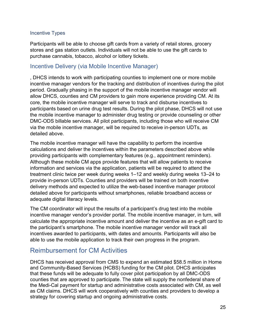#### Incentive Types

Participants will be able to choose gift cards from a variety of retail stores, grocery stores and gas station outlets. Individuals will not be able to use the gift cards to purchase cannabis, tobacco, alcohol or lottery tickets.

### Incentive Delivery (via Mobile Incentive Manager)

, DHCS intends to work with participating counties to implement one or more mobile incentive manager vendors for the tracking and distribution of incentives during the pilot period. Gradually phasing in the support of the mobile incentive manager vendor will allow DHCS, counties and CM providers to gain more experience providing CM. At its core, the mobile incentive manager will serve to track and disburse incentives to participants based on urine drug test results. During the pilot phase, DHCS will not use the mobile incentive manager to administer drug testing or provide counseling or other DMC-ODS billable services. All pilot participants, including those who will receive CM via the mobile incentive manager, will be required to receive in-person UDTs, as detailed above.

The mobile incentive manager will have the capability to perform the incentive calculations and deliver the incentives within the parameters described above while providing participants with complementary features (e.g., appointment reminders). Although these mobile CM apps provide features that will allow patients to receive information and services via the application, patients will be required to attend the treatment clinic twice per week during weeks 1–12 and weekly during weeks 13–24 to provide in-person UDTs. Counties and providers will be trained on both incentive delivery methods and expected to utilize the web-based incentive manager protocol detailed above for participants without smartphones, reliable broadband access or adequate digital literacy levels.

The CM coordinator will input the results of a participant's drug test into the mobile incentive manager vendor's provider portal. The mobile incentive manager, in turn, will calculate the appropriate incentive amount and deliver the incentive as an e-gift card to the participant's smartphone. The mobile incentive manager vendor will track all incentives awarded to participants, with dates and amounts. Participants will also be able to use the mobile application to track their own progress in the program.

# Reimbursement for CM Activities

DHCS has received approval from CMS to expend an estimated \$58.5 million in Home and Community-Based Services (HCBS) funding for the CM pilot. DHCS anticipates that these funds will be adequate to fully cover pilot participation by all DMC-ODS counties that are approved to participate. The state will supply the nonfederal share of the Medi-Cal payment for startup and administrative costs associated with CM, as well as CM claims. DHCS will work cooperatively with counties and providers to develop a strategy for covering startup and ongoing administrative costs.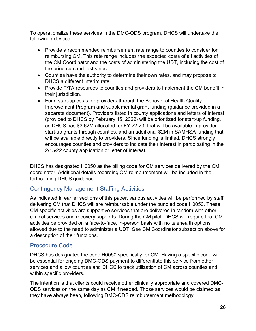To operationalize these services in the DMC-ODS program, DHCS will undertake the following activities:

- Provide a recommended reimbursement rate range to counties to consider for reimbursing CM. This rate range includes the expected costs of all activities of the CM Coordinator and the costs of administering the UDT, including the cost of the urine cup and test strips.
- Counties have the authority to determine their own rates, and may propose to DHCS a different interim rate.
- Provide T/TA resources to counties and providers to implement the CM benefit in their jurisdiction.
- Fund start-up costs for providers through the Behavioral Health Quality Improvement Program and supplemental grant funding (guidance provided in a separate document). Providers listed in county applications and letters of interest (provided to DHCS by February 15, 2022) will be prioritized for start-up funding, as DHCS has \$3.62M allocated for FY 22-23, that will be available in provider start-up grants through counties, and an additional \$2M in SAMHSA funding that will be available directly to providers. Since funding is limited, DHCS strongly encourages counties and providers to indicate their interest in participating in the 2/15/22 county application or letter of interest.

DHCS has designated H0050 as the billing code for CM services delivered by the CM coordinator. Additional details regarding CM reimbursement will be included in the forthcoming DHCS guidance.

# Contingency Management Staffing Activities

As indicated in earlier sections of this paper, various activities will be performed by staff delivering CM that DHCS will are reimbursable under the bundled code H0050. These CM-specific activities are supportive services that are delivered in tandem with other clinical services and recovery supports. During the CM pilot, DHCS will require that CM activities be provided on a face-to-face, in-person basis with no telehealth options allowed due to the need to administer a UDT. See CM Coordinator subsection above for a description of their functions.

### Procedure Code

.

DHCS has designated the code H0050 specifically for CM. Having a specific code will be essential for ongoing DMC-ODS payment to differentiate this service from other services and allow counties and DHCS to track utilization of CM across counties and within specific providers.

The intention is that clients could receive other clinically appropriate and covered DMC-ODS services on the same day as CM if needed. Those services would be claimed as they have always been, following DMC-ODS reimbursement methodology.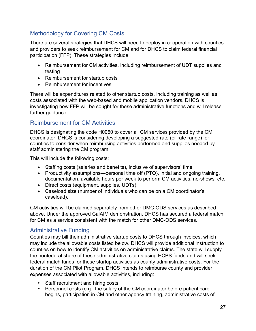# Methodology for Covering CM Costs

There are several strategies that DHCS will need to deploy in cooperation with counties and providers to seek reimbursement for CM and for DHCS to claim federal financial participation (FFP). These strategies include:

- Reimbursement for CM activities, including reimbursement of UDT supplies and testing
- Reimbursement for startup costs
- Reimbursement for incentives

There will be expenditures related to other startup costs, including training as well as costs associated with the web-based and mobile application vendors. DHCS is investigating how FFP will be sought for these administrative functions and will release further guidance.

# Reimbursement for CM Activities

DHCS is designating the code H0050 to cover all CM services provided by the CM coordinator. DHCS is considering developing a suggested rate (or rate range) for counties to consider when reimbursing activities performed and supplies needed by staff administering the CM program.

This will include the following costs:

- Staffing costs (salaries and benefits), inclusive of supervisors' time.
- Productivity assumptions—personal time off (PTO), initial and ongoing training, documentation, available hours per week to perform CM activities, no-shows, etc.
- Direct costs (equipment, supplies, UDTs).
- Caseload size (number of individuals who can be on a CM coordinator's caseload).

CM activities will be claimed separately from other DMC-ODS services as described above. Under the approved CalAIM demonstration, DHCS has secured a federal match for CM as a service consistent with the match for other DMC-ODS services.

### Administrative Funding

Counties may bill their administrative startup costs to DHCS through invoices, which may include the allowable costs listed below. DHCS will provide additional instruction to counties on how to identify CM activities on administrative claims. The state will supply the nonfederal share of these administrative claims using HCBS funds and will seek federal match funds for these startup activities as county administrative costs. For the duration of the CM Pilot Program, DHCS intends to reimburse county and provider expenses associated with allowable activities, including:

- 
- Staff recruitment and hiring costs.<br>• Personnel costs (e.g., the salary of the CM coordinator before patient care begins, participation in CM and other agency training, administrative costs of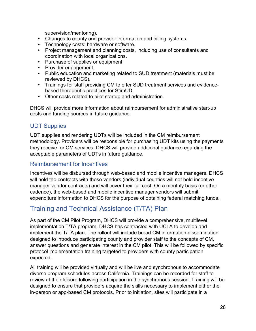- 
- 
- supervision/mentoring).<br>• Changes to county and provider information and billing systems.<br>• Technology costs: hardware or software.<br>• Project management and planning costs, including use of consultants and
- 
- 
- coordination with local organizations. Purchase of supplies or equipment. Provider engagement. Public education and marketing related to SUD treatment (materials must be
- reviewed by DHCS). Trainings for staff providing CM to offer SUD treatment services and evidence-
- based therapeutic practices for StimUD. Other costs related to pilot startup and administration.

DHCS will provide more information about reimbursement for administrative start-up costs and funding sources in future guidance.

# UDT Supplies

UDT supplies and rendering UDTs will be included in the CM reimbursement methodology. Providers will be responsible for purchasing UDT kits using the payments they receive for CM services. DHCS will provide additional guidance regarding the acceptable parameters of UDTs in future guidance.

### Reimbursement for Incentives

Incentives will be disbursed through web-based and mobile incentive managers. DHCS will hold the contracts with these vendors (individual counties will not hold incentive manager vendor contracts) and will cover their full cost. On a monthly basis (or other cadence), the web-based and mobile incentive manager vendors will submit expenditure information to DHCS for the purpose of obtaining federal matching funds.

# Training and Technical Assistance (T/TA) Plan

As part of the CM Pilot Program, DHCS will provide a comprehensive, multilevel implementation T/TA program. DHCS has contracted with UCLA to develop and implement the T/TA plan. The rollout will include broad CM information dissemination designed to introduce participating county and provider staff to the concepts of CM, answer questions and generate interest in the CM pilot. This will be followed by specific protocol implementation training targeted to providers with county participation expected.

All training will be provided virtually and will be live and synchronous to accommodate diverse program schedules across California. Trainings can be recorded for staff to review at their leisure following participation in the synchronous session. Training will be designed to ensure that providers acquire the skills necessary to implement either the in-person or app-based CM protocols. Prior to initiation, sites will participate in a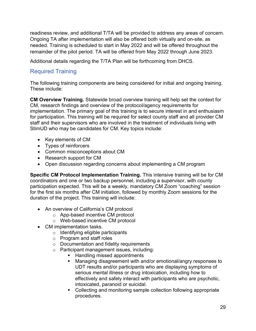readiness review, and additional T/TA will be provided to address any areas of concern. Ongoing TA after implementation will also be offered both virtually and on-site, as needed. Training is scheduled to start in May 2022 and will be offered throughout the remainder of the pilot period. TA will be offered from May 2022 through June 2023.

Additional details regarding the T/TA Plan will be forthcoming from DHCS.

# Required Training

The following training components are being considered for initial and ongoing training. These include:

CM Overview Training. Statewide broad overview training will help set the context for CM, research findings and overview of the protocol/agency requirements for implementation. The primary goal of this training is to secure interest in and enthusiasm for participation. This training will be required for select county staff and all provider CM staff and their supervisors who are involved in the treatment of individuals living with StimUD who may be candidates for CM. Key topics include:

- Key elements of CM
- Types of reinforcers
- Common misconceptions about CM
- Research support for CM
- Open discussion regarding concerns about implementing a CM program

Specific CM Protocol Implementation Training. This intensive training will be for CM coordinators and one or two backup personnel, including a supervisor, with county participation expected. This will be a weekly, mandatory CM Zoom "coaching" session for the first six months after CM initiation, followed by monthly Zoom sessions for the duration of the project. This training will include:

- An overview of California's CM protocol
	- o App-based incentive CM protocol
	- o Web-based incentive CM protocol
- CM implementation tasks.
	- $\circ$  Identifying eligible participants
	- o Program and staff roles
	- o Documentation and fidelity requirements
	- o Participant management issues, including:
		- Handling missed appointments
		- Managing disagreement with and/or emotional/angry responses to UDT results and/or participants who are displaying symptoms of serious mental illness or drug intoxication, including how to effectively and safely interact with participants who are psychotic, intoxicated, paranoid or suicidal.
		- Collecting and monitoring sample collection following appropriate procedures.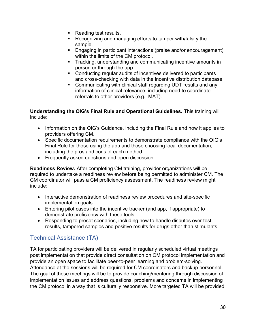- Reading test results.
- Recognizing and managing efforts to tamper with/falsify the sample.
- Engaging in participant interactions (praise and/or encouragement) within the limits of the CM protocol.
- **Tracking, understanding and communicating incentive amounts in** person or through the app.
- Conducting regular audits of incentives delivered to participants and cross-checking with data in the incentive distribution database.
- Communicating with clinical staff regarding UDT results and any information of clinical relevance, including need to coordinate referrals to other providers (e.g., MAT).

Understanding the OIG's Final Rule and Operational Guidelines. This training will include:

- Information on the OIG's Guidance, including the Final Rule and how it applies to providers offering CM.
- Specific documentation requirements to demonstrate compliance with the OIG's Final Rule for those using the app and those choosing local documentation, including the pros and cons of each method.
- Frequently asked questions and open discussion.

Readiness Review. After completing CM training, provider organizations will be required to undertake a readiness review before being permitted to administer CM. The CM coordinator will pass a CM proficiency assessment. The readiness review might include:

- Interactive demonstration of readiness review procedures and site-specific implementation goals.
- Entering pilot cases into the incentive tracker (and app, if appropriate) to demonstrate proficiency with these tools.
- Responding to preset scenarios, including how to handle disputes over test results, tampered samples and positive results for drugs other than stimulants.

# Technical Assistance (TA)

TA for participating providers will be delivered in regularly scheduled virtual meetings post implementation that provide direct consultation on CM protocol implementation and provide an open space to facilitate peer-to-peer learning and problem-solving. Attendance at the sessions will be required for CM coordinators and backup personnel. The goal of these meetings will be to provide coaching/mentoring through discussion of implementation issues and address questions, problems and concerns in implementing the CM protocol in a way that is culturally responsive. More targeted TA will be provided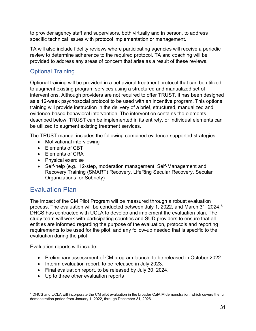to provider agency staff and supervisors, both virtually and in person, to address specific technical issues with protocol implementation or management.

TA will also include fidelity reviews where participating agencies will receive a periodic review to determine adherence to the required protocol. TA and coaching will be provided to address any areas of concern that arise as a result of these reviews.

# Optional Training

Optional training will be provided in a behavioral treatment protocol that can be utilized to augment existing program services using a structured and manualized set of interventions. Although providers are not required to offer TRUST, it has been designed as a 12-week psychosocial protocol to be used with an incentive program. This optional training will provide instruction in the delivery of a brief, structured, manualized and evidence-based behavioral intervention. The intervention contains the elements described below. TRUST can be implemented in its entirety, or individual elements can be utilized to augment existing treatment services.

The TRUST manual includes the following combined evidence-supported strategies:

- Motivational interviewing
- Flements of CBT
- Elements of CRA
- Physical exercise
- Self-help (e.g., 12-step, moderation management, Self-Management and Recovery Training (SMART) Recovery, LifeRing Secular Recovery, Secular Organizations for Sobriety)

# Evaluation Plan

The impact of the CM Pilot Program will be measured through a robust evaluation process. The evaluation will be conducted between July 1, 2022, and March 31, 2024.<sup>6</sup> DHCS has contracted with UCLA to develop and implement the evaluation plan. The study team will work with participating counties and SUD providers to ensure that all entities are informed regarding the purpose of the evaluation, protocols and reporting requirements to be used for the pilot, and any follow-up needed that is specific to the evaluation during the pilot.

Evaluation reports will include:

- Preliminary assessment of CM program launch, to be released in October 2022.
- Interim evaluation report, to be released in July 2023.
- Final evaluation report, to be released by July 30, 2024.
- Up to three other evaluation reports

<sup>6</sup> DHCS and UCLA will incorporate the CM pilot evaluation in the broader CalAIM demonstration, which covers the full demonstration period from January 1, 2022, through December 31, 2026.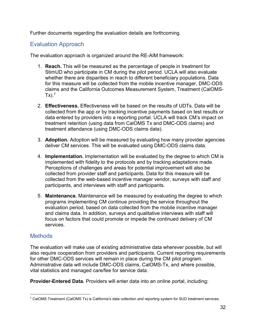Further documents regarding the evaluation details are forthcoming.

### Evaluation Approach

The evaluation approach is organized around the RE-AIM framework:

- 1. Reach. This will be measured as the percentage of people in treatment for StimUD who participate in CM during the pilot period. UCLA will also evaluate whether there are disparities in reach to different beneficiary populations. Data for this measure will be collected from the mobile incentive manager, DMC-ODS claims and the California Outcomes Measurement System, Treatment (CalOMS-Tx).<sup>7</sup>
- 2. Effectiveness. Effectiveness will be based on the results of UDTs. Data will be collected from the app or by tracking incentive payments based on test results or data entered by providers into a reporting portal. UCLA will track CM's impact on treatment retention (using data from CalOMS Tx and DMC-ODS claims) and treatment attendance (using DMC-ODS claims data).
- 3. Adoption. Adoption will be measured by evaluating how many provider agencies deliver CM services. This will be evaluated using DMC-ODS claims data.
- 4. Implementation. Implementation will be evaluated by the degree to which CM is implemented with fidelity to the protocols and by tracking adaptations made. Perceptions of challenges and areas for potential improvement will also be collected from provider staff and participants. Data for this measure will be collected from the web-based incentive manager vendor, surveys with staff and participants, and interviews with staff and participants.
- 5. Maintenance. Maintenance will be measured by evaluating the degree to which programs implementing CM continue providing the service throughout the evaluation period, based on data collected from the mobile incentive manager and claims data. In addition, surveys and qualitative interviews with staff will focus on factors that could promote or impede the continued delivery of CM services.

### **Methods**

The evaluation will make use of existing administrative data wherever possible, but will also require cooperation from providers and participants. Current reporting requirements for other DMC-ODS services will remain in place during the CM pilot program. Administrative data will include DMC-ODS claims, CalOMS-Tx, and where possible, vital statistics and managed care/fee for service data.

Provider-Entered Data. Providers will enter data into an online portal, including:

<sup>7</sup> CalOMS Treatment (CalOMS Tx) is California's data collection and reporting system for SUD treatment services.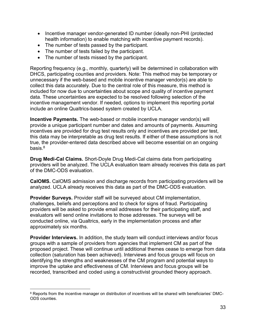- Incentive manager vendor-generated ID number (ideally non-PHI (protected health information) to enable matching with incentive payment records).
- The number of tests passed by the participant.
- The number of tests failed by the participant.
- The number of tests missed by the participant.

Reporting frequency (e.g., monthly, quarterly) will be determined in collaboration with DHCS, participating counties and providers. Note: This method may be temporary or unnecessary if the web-based and mobile incentive manager vendor(s) are able to collect this data accurately. Due to the central role of this measure, this method is included for now due to uncertainties about scope and quality of incentive payment data. These uncertainties are expected to be resolved following selection of the incentive management vendor. If needed, options to implement this reporting portal include an online Qualtrics-based system created by UCLA.

Incentive Payments. The web-based or mobile incentive manager vendor(s) will provide a unique participant number and dates and amounts of payments. Assuming incentives are provided for drug test results only and incentives are provided per test, this data may be interpretable as drug test results. If either of these assumptions is not true, the provider-entered data described above will become essential on an ongoing basis.<sup>8</sup>

Drug Medi-Cal Claims. Short-Doyle Drug Medi-Cal claims data from participating providers will be analyzed. The UCLA evaluation team already receives this data as part of the DMC-ODS evaluation.

CalOMS. CalOMS admission and discharge records from participating providers will be analyzed. UCLA already receives this data as part of the DMC-ODS evaluation.

Provider Surveys. Provider staff will be surveyed about CM implementation, challenges, beliefs and perceptions and to check for signs of fraud. Participating providers will be asked to provide email addresses for their participating staff, and evaluators will send online invitations to those addresses. The surveys will be conducted online, via Qualtrics, early in the implementation process and after approximately six months.

Provider Interviews. In addition, the study team will conduct interviews and/or focus groups with a sample of providers from agencies that implement CM as part of the proposed project. These will continue until additional themes cease to emerge from data collection (saturation has been achieved). Interviews and focus groups will focus on identifying the strengths and weaknesses of the CM program and potential ways to improve the uptake and effectiveness of CM. Interviews and focus groups will be recorded, transcribed and coded using a constructivist grounded theory approach.

<sup>&</sup>lt;sup>8</sup> Reports from the incentive manager on distribution of incentives will be shared with beneficiaries' DMC-ODS counties.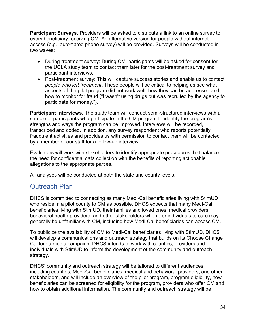Participant Surveys. Providers will be asked to distribute a link to an online survey to every beneficiary receiving CM. An alternative version for people without internet access (e.g., automated phone survey) will be provided. Surveys will be conducted in two waves:

- During-treatment survey: During CM, participants will be asked for consent for the UCLA study team to contact them later for the post-treatment survey and participant interviews.
- Post-treatment survey: This will capture success stories and enable us to contact people who left treatment. These people will be critical to helping us see what aspects of the pilot program did not work well, how they can be addressed and how to monitor for fraud ("I wasn't using drugs but was recruited by the agency to participate for money.").

Participant Interviews. The study team will conduct semi-structured interviews with a sample of participants who participate in the CM program to identify the program's strengths and ways the program can be improved. Interviews will be recorded, transcribed and coded. In addition, any survey respondent who reports potentially fraudulent activities and provides us with permission to contact them will be contacted by a member of our staff for a follow-up interview.

Evaluators will work with stakeholders to identify appropriate procedures that balance the need for confidential data collection with the benefits of reporting actionable allegations to the appropriate parties.

All analyses will be conducted at both the state and county levels.

# Outreach Plan

DHCS is committed to connecting as many Medi-Cal beneficiaries living with StimUD who reside in a pilot county to CM as possible. DHCS expects that many Medi-Cal beneficiaries living with StimUD, their families and loved ones, medical providers, behavioral health providers, and other stakeholders who refer individuals to care may generally be unfamiliar with CM, including how Medi-Cal beneficiaries can access CM.

To publicize the availability of CM to Medi-Cal beneficiaries living with StimUD, DHCS will develop a communications and outreach strategy that builds on its Choose Change California media campaign. DHCS intends to work with counties, providers and individuals with StimUD to inform the development of the community and outreach strategy.

DHCS' community and outreach strategy will be tailored to different audiences, including counties, Medi-Cal beneficiaries, medical and behavioral providers, and other stakeholders, and will include an overview of the pilot program, program eligibility, how beneficiaries can be screened for eligibility for the program, providers who offer CM and how to obtain additional information. The community and outreach strategy will be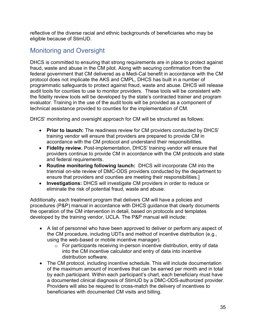reflective of the diverse racial and ethnic backgrounds of beneficiaries who may be eligible because of StimUD.

# Monitoring and Oversight

DHCS is committed to ensuring that strong requirements are in place to protect against fraud, waste and abuse in the CM pilot. Along with securing confirmation from the federal government that CM delivered as a Medi-Cal benefit in accordance with the CM protocol does not implicate the AKS and CMPL, DHCS has built in a number of programmatic safeguards to protect against fraud, waste and abuse. DHCS will release audit tools for counties to use to monitor providers. These tools will be consistent with the fidelity review tools will be developed by the state's contracted trainer and program evaluator. Training in the use of the audit tools will be provided as a component of technical assistance provided to counties for the implementation of CM.

DHCS' monitoring and oversight approach for CM will be structured as follows:

- Prior to launch: The readiness review for CM providers conducted by DHCS' training vendor will ensure that providers are prepared to provide CM in accordance with the CM protocol and understand their responsibilities.
- Fidelity review. Post-implementation, DHCS' training vendor will ensure that providers continue to provide CM in accordance with the CM protocols and state and federal requirements.
- Routine monitoring following launch: DHCS will incorporate CM into the triennial on-site review of DMC-ODS providers conducted by the department to ensure that providers and counties are meeting their responsibilities.]
- Investigations: DHCS will investigate CM providers in order to reduce or eliminate the risk of potential fraud, waste and abuse.

Additionally, each treatment program that delivers CM will have a policies and procedures (P&P) manual in accordance with DHCS guidance that clearly documents the operation of the CM intervention in detail, based on protocols and templates developed by the training vendor, UCLA. The P&P manual will include:

- A list of personnel who have been approved to deliver or perform any aspect of the CM procedure, including UDTs and method of incentive distribution (e.g., using the web-based or mobile incentive manager).
	- o For participants receiving in-person incentive distribution, entry of data into the CM incentive calculator and entry of data into incentive distribution software.
- The CM protocol, including incentive schedule. This will include documentation of the maximum amount of incentives that can be earned per month and in total by each participant. Within each participant's chart, each beneficiary must have a documented clinical diagnosis of StimUD by a DMC-ODS-authorized provider. Providers will also be required to cross-match the delivery of incentives to beneficiaries with documented CM visits and billing.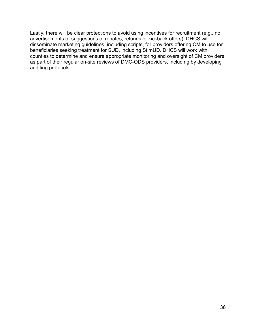Lastly, there will be clear protections to avoid using incentives for recruitment (e.g., no advertisements or suggestions of rebates, refunds or kickback offers). DHCS will disseminate marketing guidelines, including scripts, for providers offering CM to use for beneficiaries seeking treatment for SUD, including StimUD. DHCS will work with counties to determine and ensure appropriate monitoring and oversight of CM providers as part of their regular on-site reviews of DMC-ODS providers, including by developing auditing protocols.